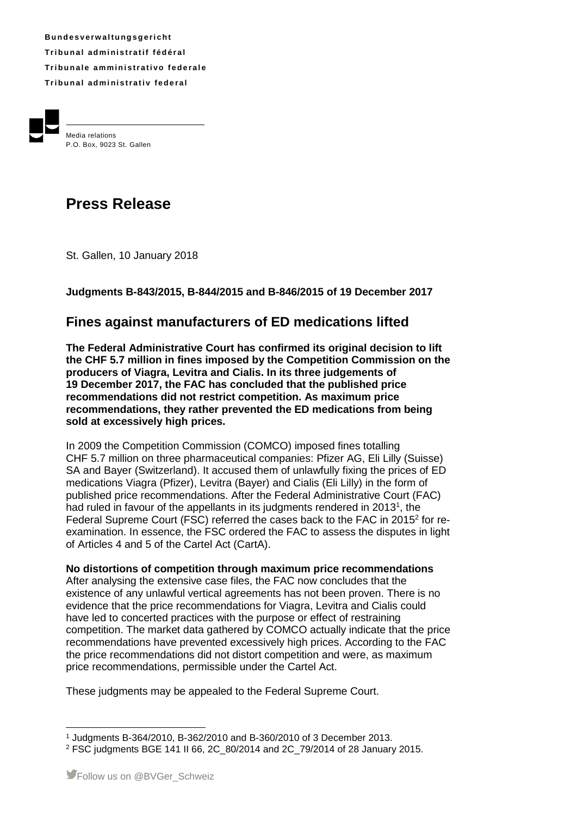**B u n d e s v e rw a l t u ng s g e r i ch t Tr i b u n a l ad m i ni s t r a t i f f éd é r a l Tribunale amministrativo federale Tr i b u n a l ad m i ni s t r a t i v fe d e r a l**



Media relations P.O. Box, 9023 St. Gallen

# **Press Release**

St. Gallen, 10 January 2018

## **Judgments B-843/2015, B-844/2015 and B-846/2015 of 19 December 2017**

# **Fines against manufacturers of ED medications lifted**

**The Federal Administrative Court has confirmed its original decision to lift the CHF 5.7 million in fines imposed by the Competition Commission on the producers of Viagra, Levitra and Cialis. In its three judgements of 19 December 2017, the FAC has concluded that the published price recommendations did not restrict competition. As maximum price recommendations, they rather prevented the ED medications from being sold at excessively high prices.**

In 2009 the Competition Commission (COMCO) imposed fines totalling CHF 5.7 million on three pharmaceutical companies: Pfizer AG, Eli Lilly (Suisse) SA and Bayer (Switzerland). It accused them of unlawfully fixing the prices of ED medications Viagra (Pfizer), Levitra (Bayer) and Cialis (Eli Lilly) in the form of published price recommendations. After the Federal Administrative Court (FAC) had ruled in favour of the appellants in its judgments rendered in 2013<sup>1</sup>, the Federal Supreme Court (FSC) referred the cases back to the FAC in 2015<sup>2</sup> for reexamination. In essence, the FSC ordered the FAC to assess the disputes in light of Articles 4 and 5 of the Cartel Act (CartA).

#### **No distortions of competition through maximum price recommendations**

After analysing the extensive case files, the FAC now concludes that the existence of any unlawful vertical agreements has not been proven. There is no evidence that the price recommendations for Viagra, Levitra and Cialis could have led to concerted practices with the purpose or effect of restraining competition. The market data gathered by COMCO actually indicate that the price recommendations have prevented excessively high prices. According to the FAC the price recommendations did not distort competition and were, as maximum price recommendations, permissible under the Cartel Act.

These judgments may be appealed to the Federal Supreme Court.

 <sup>1</sup> Judgments B-364/2010, B-362/2010 and B-360/2010 of 3 December 2013.

<sup>2</sup> FSC judgments BGE 141 II 66, 2C\_80/2014 and 2C\_79/2014 of 28 January 2015.